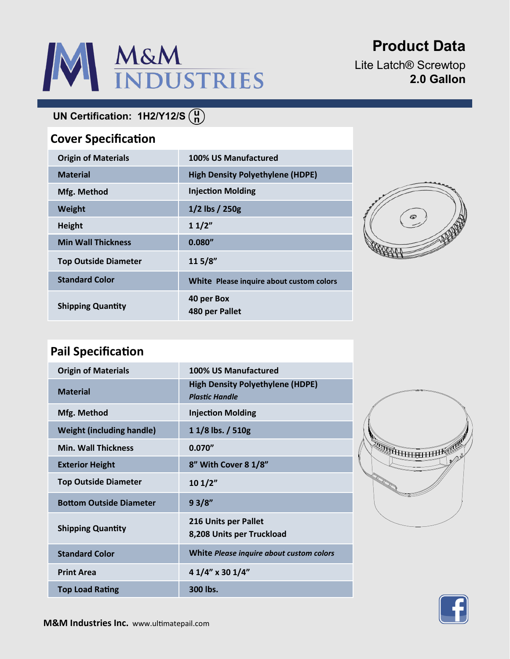# M&M<br>INDUSTRIES

# **Product Data**

Lite Latch® Screwtop **2.0 Gallon**

## **UN Certification: 1H2/Y12/S**

### **Cover Specification**

| <b>Origin of Materials</b>  | 100% US Manufactured                     |
|-----------------------------|------------------------------------------|
| <b>Material</b>             | <b>High Density Polyethylene (HDPE)</b>  |
| Mfg. Method                 | <b>Injection Molding</b>                 |
| <b>Weight</b>               | $1/2$ lbs $/250g$                        |
| <b>Height</b>               | 11/2"                                    |
| <b>Min Wall Thickness</b>   | 0.080''                                  |
| <b>Top Outside Diameter</b> | 115/8"                                   |
| <b>Standard Color</b>       | White Please inquire about custom colors |
| <b>Shipping Quantity</b>    | 40 per Box<br>480 per Pallet             |



## **Pail Specification**

| <b>Origin of Materials</b>       | 100% US Manufactured                                             |
|----------------------------------|------------------------------------------------------------------|
| <b>Material</b>                  | <b>High Density Polyethylene (HDPE)</b><br><b>Plastic Handle</b> |
| Mfg. Method                      | <b>Injection Molding</b>                                         |
| <b>Weight (including handle)</b> | 1 1/8 lbs. / 510g                                                |
| <b>Min. Wall Thickness</b>       | 0.070''                                                          |
| <b>Exterior Height</b>           | 8" With Cover 8 1/8"                                             |
| <b>Top Outside Diameter</b>      | 101/2"                                                           |
| <b>Bottom Outside Diameter</b>   | 93/8"                                                            |
| <b>Shipping Quantity</b>         | 216 Units per Pallet<br>8,208 Units per Truckload                |
| <b>Standard Color</b>            | White Please inquire about custom colors                         |
| <b>Print Area</b>                | 4 1/4" x 30 1/4"                                                 |
| <b>Top Load Rating</b>           | 300 lbs.                                                         |